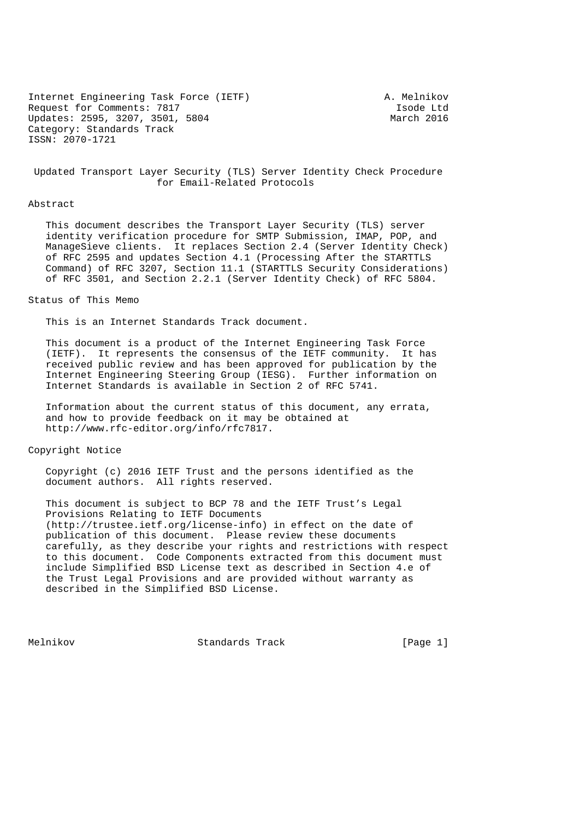Internet Engineering Task Force (IETF) A. Melnikov Request for Comments: 7817<br>
Updates: 2595, 3207, 3501, 5804<br>
March 2016 Updates: 2595, 3207, 3501, 5804 Category: Standards Track ISSN: 2070-1721

 Updated Transport Layer Security (TLS) Server Identity Check Procedure for Email-Related Protocols

### Abstract

 This document describes the Transport Layer Security (TLS) server identity verification procedure for SMTP Submission, IMAP, POP, and ManageSieve clients. It replaces Section 2.4 (Server Identity Check) of RFC 2595 and updates Section 4.1 (Processing After the STARTTLS Command) of RFC 3207, Section 11.1 (STARTTLS Security Considerations) of RFC 3501, and Section 2.2.1 (Server Identity Check) of RFC 5804.

Status of This Memo

This is an Internet Standards Track document.

 This document is a product of the Internet Engineering Task Force (IETF). It represents the consensus of the IETF community. It has received public review and has been approved for publication by the Internet Engineering Steering Group (IESG). Further information on Internet Standards is available in Section 2 of RFC 5741.

 Information about the current status of this document, any errata, and how to provide feedback on it may be obtained at http://www.rfc-editor.org/info/rfc7817.

## Copyright Notice

 Copyright (c) 2016 IETF Trust and the persons identified as the document authors. All rights reserved.

 This document is subject to BCP 78 and the IETF Trust's Legal Provisions Relating to IETF Documents (http://trustee.ietf.org/license-info) in effect on the date of publication of this document. Please review these documents carefully, as they describe your rights and restrictions with respect to this document. Code Components extracted from this document must include Simplified BSD License text as described in Section 4.e of the Trust Legal Provisions and are provided without warranty as described in the Simplified BSD License.

Melnikov Standards Track [Page 1]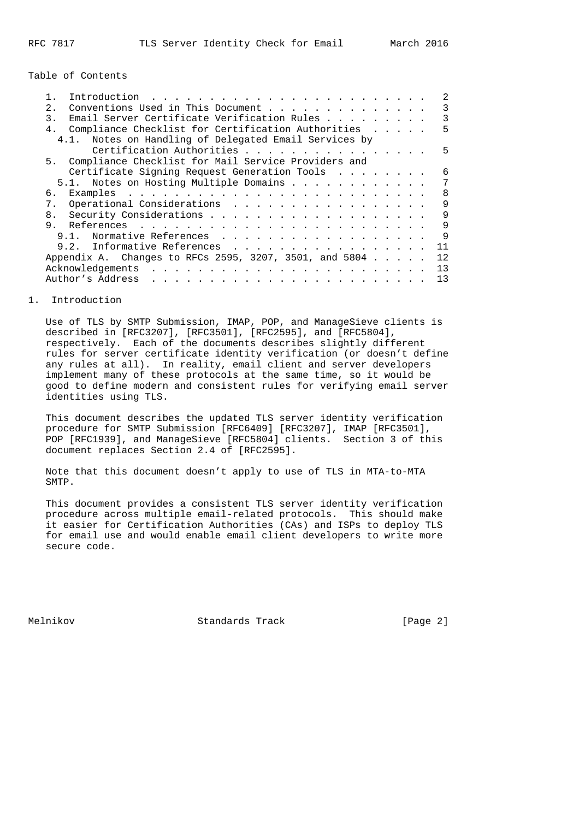Table of Contents

| $2^{\circ}$    | Conventions Used in This Document                                                                                                                                                                                                                     |  |  |  | 3  |
|----------------|-------------------------------------------------------------------------------------------------------------------------------------------------------------------------------------------------------------------------------------------------------|--|--|--|----|
| 3.             | Email Server Certificate Verification Rules                                                                                                                                                                                                           |  |  |  | 3  |
|                | 4. Compliance Checklist for Certification Authorities                                                                                                                                                                                                 |  |  |  | 5  |
|                | 4.1. Notes on Handling of Delegated Email Services by                                                                                                                                                                                                 |  |  |  |    |
|                | Certification Authorities                                                                                                                                                                                                                             |  |  |  | 5  |
|                | 5. Compliance Checklist for Mail Service Providers and                                                                                                                                                                                                |  |  |  |    |
|                | Certificate Signing Request Generation Tools                                                                                                                                                                                                          |  |  |  | 6  |
|                | 5.1. Notes on Hosting Multiple Domains                                                                                                                                                                                                                |  |  |  | 7  |
| б.             |                                                                                                                                                                                                                                                       |  |  |  | 8  |
| 7.             | Operational Considerations                                                                                                                                                                                                                            |  |  |  | 9  |
| 8 <sub>1</sub> |                                                                                                                                                                                                                                                       |  |  |  | 9  |
| 9              |                                                                                                                                                                                                                                                       |  |  |  | 9  |
|                | Normative References<br>9.1.                                                                                                                                                                                                                          |  |  |  | 9  |
|                | 9.2. Informative References                                                                                                                                                                                                                           |  |  |  | 11 |
|                | Appendix A. Changes to RFCs 2595, 3207, 3501, and 5804                                                                                                                                                                                                |  |  |  | 12 |
|                | Acknowledgements                                                                                                                                                                                                                                      |  |  |  | 13 |
|                | Author's Address<br>$\frac{1}{2}$ . The state of the state of the state of the state of the state of the state of the state of the state of the state of the state of the state of the state of the state of the state of the state of the state of t |  |  |  | 13 |
|                |                                                                                                                                                                                                                                                       |  |  |  |    |

## 1. Introduction

 Use of TLS by SMTP Submission, IMAP, POP, and ManageSieve clients is described in [RFC3207], [RFC3501], [RFC2595], and [RFC5804], respectively. Each of the documents describes slightly different rules for server certificate identity verification (or doesn't define any rules at all). In reality, email client and server developers implement many of these protocols at the same time, so it would be good to define modern and consistent rules for verifying email server identities using TLS.

 This document describes the updated TLS server identity verification procedure for SMTP Submission [RFC6409] [RFC3207], IMAP [RFC3501], POP [RFC1939], and ManageSieve [RFC5804] clients. Section 3 of this document replaces Section 2.4 of [RFC2595].

 Note that this document doesn't apply to use of TLS in MTA-to-MTA SMTP.

 This document provides a consistent TLS server identity verification procedure across multiple email-related protocols. This should make it easier for Certification Authorities (CAs) and ISPs to deploy TLS for email use and would enable email client developers to write more secure code.

Melnikov Standards Track [Page 2]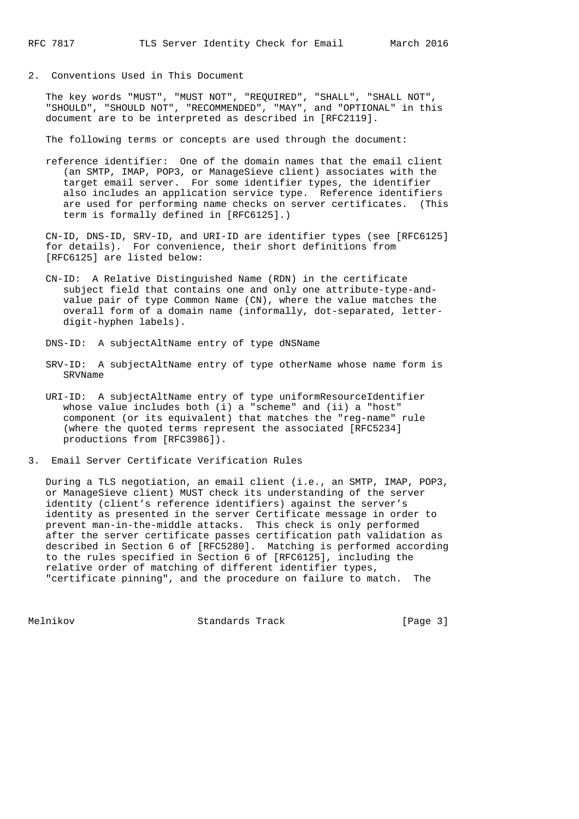2. Conventions Used in This Document

 The key words "MUST", "MUST NOT", "REQUIRED", "SHALL", "SHALL NOT", "SHOULD", "SHOULD NOT", "RECOMMENDED", "MAY", and "OPTIONAL" in this document are to be interpreted as described in [RFC2119].

The following terms or concepts are used through the document:

 reference identifier: One of the domain names that the email client (an SMTP, IMAP, POP3, or ManageSieve client) associates with the target email server. For some identifier types, the identifier also includes an application service type. Reference identifiers are used for performing name checks on server certificates. (This term is formally defined in [RFC6125].)

 CN-ID, DNS-ID, SRV-ID, and URI-ID are identifier types (see [RFC6125] for details). For convenience, their short definitions from [RFC6125] are listed below:

 CN-ID: A Relative Distinguished Name (RDN) in the certificate subject field that contains one and only one attribute-type-and value pair of type Common Name (CN), where the value matches the overall form of a domain name (informally, dot-separated, letter digit-hyphen labels).

DNS-ID: A subjectAltName entry of type dNSName

- SRV-ID: A subjectAltName entry of type otherName whose name form is SRVName
- URI-ID: A subjectAltName entry of type uniformResourceIdentifier whose value includes both (i) a "scheme" and (ii) a "host" component (or its equivalent) that matches the "reg-name" rule (where the quoted terms represent the associated [RFC5234] productions from [RFC3986]).
- 3. Email Server Certificate Verification Rules

 During a TLS negotiation, an email client (i.e., an SMTP, IMAP, POP3, or ManageSieve client) MUST check its understanding of the server identity (client's reference identifiers) against the server's identity as presented in the server Certificate message in order to prevent man-in-the-middle attacks. This check is only performed after the server certificate passes certification path validation as described in Section 6 of [RFC5280]. Matching is performed according to the rules specified in Section 6 of [RFC6125], including the relative order of matching of different identifier types, "certificate pinning", and the procedure on failure to match. The

Melnikov Standards Track [Page 3]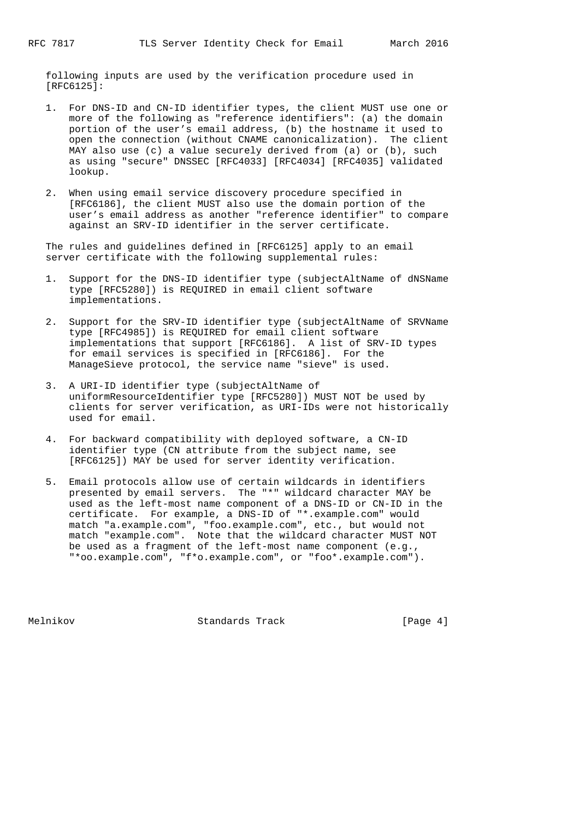following inputs are used by the verification procedure used in [RFC6125]:

- 1. For DNS-ID and CN-ID identifier types, the client MUST use one or more of the following as "reference identifiers": (a) the domain portion of the user's email address, (b) the hostname it used to open the connection (without CNAME canonicalization). The client MAY also use (c) a value securely derived from (a) or (b), such as using "secure" DNSSEC [RFC4033] [RFC4034] [RFC4035] validated lookup.
- 2. When using email service discovery procedure specified in [RFC6186], the client MUST also use the domain portion of the user's email address as another "reference identifier" to compare against an SRV-ID identifier in the server certificate.

 The rules and guidelines defined in [RFC6125] apply to an email server certificate with the following supplemental rules:

- 1. Support for the DNS-ID identifier type (subjectAltName of dNSName type [RFC5280]) is REQUIRED in email client software implementations.
- 2. Support for the SRV-ID identifier type (subjectAltName of SRVName type [RFC4985]) is REQUIRED for email client software implementations that support [RFC6186]. A list of SRV-ID types for email services is specified in [RFC6186]. For the ManageSieve protocol, the service name "sieve" is used.
- 3. A URI-ID identifier type (subjectAltName of uniformResourceIdentifier type [RFC5280]) MUST NOT be used by clients for server verification, as URI-IDs were not historically used for email.
- 4. For backward compatibility with deployed software, a CN-ID identifier type (CN attribute from the subject name, see [RFC6125]) MAY be used for server identity verification.
- 5. Email protocols allow use of certain wildcards in identifiers presented by email servers. The "\*" wildcard character MAY be used as the left-most name component of a DNS-ID or CN-ID in the certificate. For example, a DNS-ID of "\*.example.com" would match "a.example.com", "foo.example.com", etc., but would not match "example.com". Note that the wildcard character MUST NOT be used as a fragment of the left-most name component (e.g., "\*oo.example.com", "f\*o.example.com", or "foo\*.example.com").

Melnikov Standards Track [Page 4]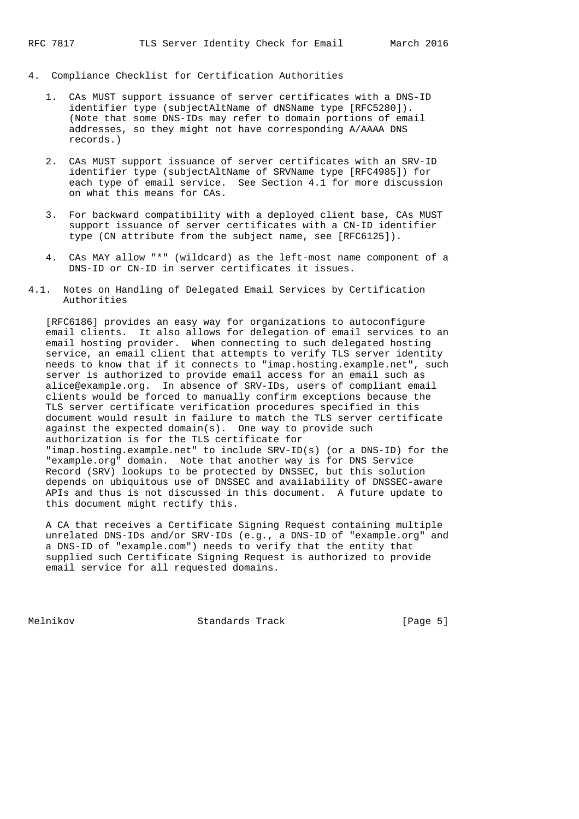- 4. Compliance Checklist for Certification Authorities
	- 1. CAs MUST support issuance of server certificates with a DNS-ID identifier type (subjectAltName of dNSName type [RFC5280]). (Note that some DNS-IDs may refer to domain portions of email addresses, so they might not have corresponding A/AAAA DNS records.)
	- 2. CAs MUST support issuance of server certificates with an SRV-ID identifier type (subjectAltName of SRVName type [RFC4985]) for each type of email service. See Section 4.1 for more discussion on what this means for CAs.
	- 3. For backward compatibility with a deployed client base, CAs MUST support issuance of server certificates with a CN-ID identifier type (CN attribute from the subject name, see [RFC6125]).
	- 4. CAs MAY allow "\*" (wildcard) as the left-most name component of a DNS-ID or CN-ID in server certificates it issues.
- 4.1. Notes on Handling of Delegated Email Services by Certification Authorities

 [RFC6186] provides an easy way for organizations to autoconfigure email clients. It also allows for delegation of email services to an email hosting provider. When connecting to such delegated hosting service, an email client that attempts to verify TLS server identity needs to know that if it connects to "imap.hosting.example.net", such server is authorized to provide email access for an email such as alice@example.org. In absence of SRV-IDs, users of compliant email clients would be forced to manually confirm exceptions because the TLS server certificate verification procedures specified in this document would result in failure to match the TLS server certificate against the expected domain(s). One way to provide such authorization is for the TLS certificate for "imap.hosting.example.net" to include SRV-ID(s) (or a DNS-ID) for the "example.org" domain. Note that another way is for DNS Service Record (SRV) lookups to be protected by DNSSEC, but this solution

 depends on ubiquitous use of DNSSEC and availability of DNSSEC-aware APIs and thus is not discussed in this document. A future update to this document might rectify this.

 A CA that receives a Certificate Signing Request containing multiple unrelated DNS-IDs and/or SRV-IDs (e.g., a DNS-ID of "example.org" and a DNS-ID of "example.com") needs to verify that the entity that supplied such Certificate Signing Request is authorized to provide email service for all requested domains.

Melnikov Standards Track [Page 5]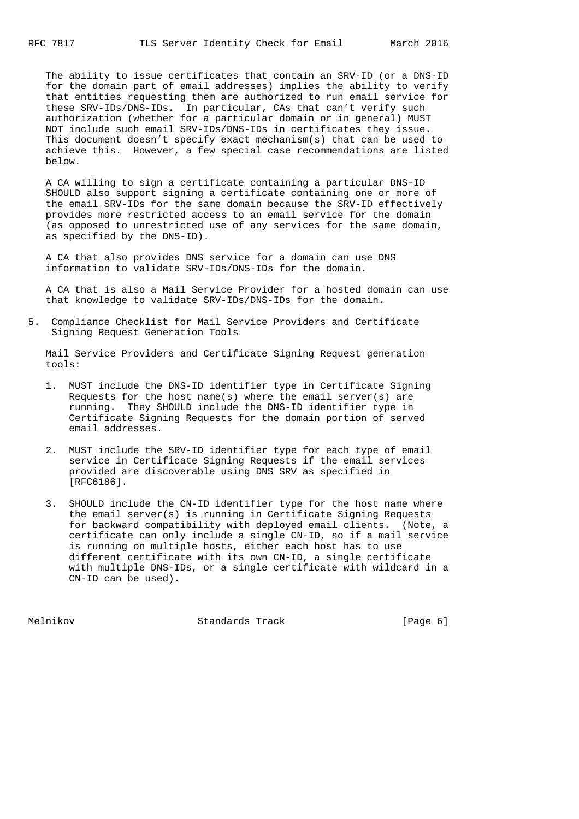The ability to issue certificates that contain an SRV-ID (or a DNS-ID for the domain part of email addresses) implies the ability to verify that entities requesting them are authorized to run email service for these SRV-IDs/DNS-IDs. In particular, CAs that can't verify such authorization (whether for a particular domain or in general) MUST NOT include such email SRV-IDs/DNS-IDs in certificates they issue. This document doesn't specify exact mechanism(s) that can be used to achieve this. However, a few special case recommendations are listed below.

 A CA willing to sign a certificate containing a particular DNS-ID SHOULD also support signing a certificate containing one or more of the email SRV-IDs for the same domain because the SRV-ID effectively provides more restricted access to an email service for the domain (as opposed to unrestricted use of any services for the same domain, as specified by the DNS-ID).

 A CA that also provides DNS service for a domain can use DNS information to validate SRV-IDs/DNS-IDs for the domain.

 A CA that is also a Mail Service Provider for a hosted domain can use that knowledge to validate SRV-IDs/DNS-IDs for the domain.

5. Compliance Checklist for Mail Service Providers and Certificate Signing Request Generation Tools

 Mail Service Providers and Certificate Signing Request generation tools:

- 1. MUST include the DNS-ID identifier type in Certificate Signing Requests for the host name(s) where the email server(s) are running. They SHOULD include the DNS-ID identifier type in Certificate Signing Requests for the domain portion of served email addresses.
- 2. MUST include the SRV-ID identifier type for each type of email service in Certificate Signing Requests if the email services provided are discoverable using DNS SRV as specified in [RFC6186].
- 3. SHOULD include the CN-ID identifier type for the host name where the email server(s) is running in Certificate Signing Requests for backward compatibility with deployed email clients. (Note, a certificate can only include a single CN-ID, so if a mail service is running on multiple hosts, either each host has to use different certificate with its own CN-ID, a single certificate with multiple DNS-IDs, or a single certificate with wildcard in a CN-ID can be used).

Melnikov Standards Track [Page 6]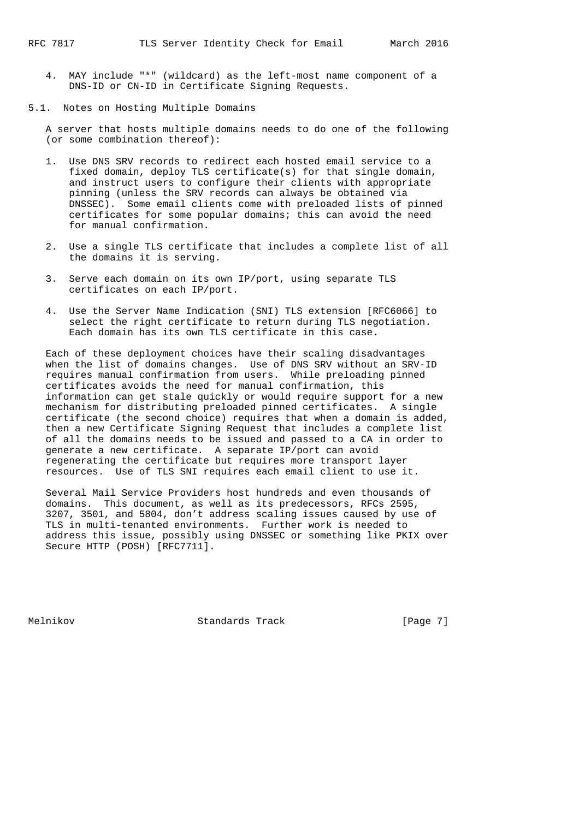4. MAY include "\*" (wildcard) as the left-most name component of a DNS-ID or CN-ID in Certificate Signing Requests.

5.1. Notes on Hosting Multiple Domains

 A server that hosts multiple domains needs to do one of the following (or some combination thereof):

- 1. Use DNS SRV records to redirect each hosted email service to a fixed domain, deploy TLS certificate(s) for that single domain, and instruct users to configure their clients with appropriate pinning (unless the SRV records can always be obtained via DNSSEC). Some email clients come with preloaded lists of pinned certificates for some popular domains; this can avoid the need for manual confirmation.
- 2. Use a single TLS certificate that includes a complete list of all the domains it is serving.
- 3. Serve each domain on its own IP/port, using separate TLS certificates on each IP/port.
- 4. Use the Server Name Indication (SNI) TLS extension [RFC6066] to select the right certificate to return during TLS negotiation. Each domain has its own TLS certificate in this case.

 Each of these deployment choices have their scaling disadvantages when the list of domains changes. Use of DNS SRV without an SRV-ID requires manual confirmation from users. While preloading pinned certificates avoids the need for manual confirmation, this information can get stale quickly or would require support for a new mechanism for distributing preloaded pinned certificates. A single certificate (the second choice) requires that when a domain is added, then a new Certificate Signing Request that includes a complete list of all the domains needs to be issued and passed to a CA in order to generate a new certificate. A separate IP/port can avoid regenerating the certificate but requires more transport layer resources. Use of TLS SNI requires each email client to use it.

 Several Mail Service Providers host hundreds and even thousands of domains. This document, as well as its predecessors, RFCs 2595, 3207, 3501, and 5804, don't address scaling issues caused by use of TLS in multi-tenanted environments. Further work is needed to address this issue, possibly using DNSSEC or something like PKIX over Secure HTTP (POSH) [RFC7711].

Melnikov Standards Track [Page 7]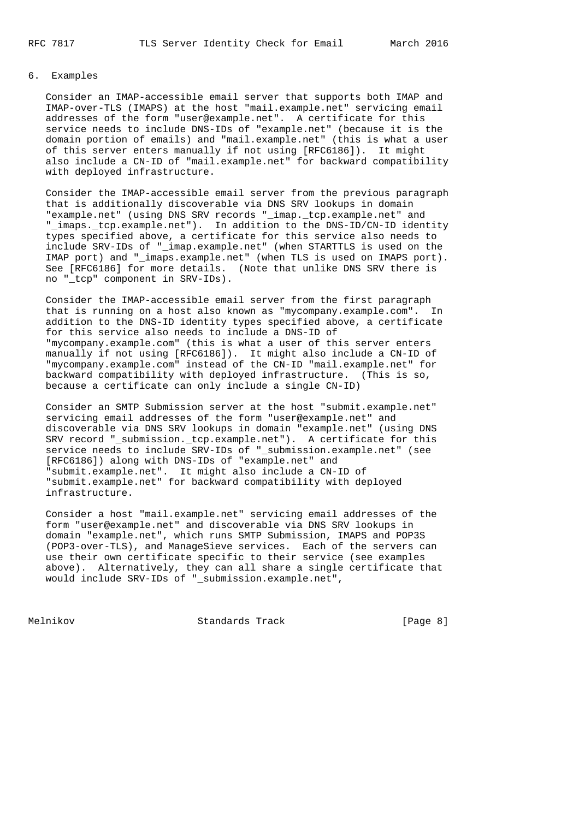# 6. Examples

 Consider an IMAP-accessible email server that supports both IMAP and IMAP-over-TLS (IMAPS) at the host "mail.example.net" servicing email addresses of the form "user@example.net". A certificate for this service needs to include DNS-IDs of "example.net" (because it is the domain portion of emails) and "mail.example.net" (this is what a user of this server enters manually if not using [RFC6186]). It might also include a CN-ID of "mail.example.net" for backward compatibility with deployed infrastructure.

 Consider the IMAP-accessible email server from the previous paragraph that is additionally discoverable via DNS SRV lookups in domain "example.net" (using DNS SRV records "\_imap.\_tcp.example.net" and "\_imaps.\_tcp.example.net"). In addition to the DNS-ID/CN-ID identity types specified above, a certificate for this service also needs to include SRV-IDs of "\_imap.example.net" (when STARTTLS is used on the IMAP port) and "\_imaps.example.net" (when TLS is used on IMAPS port). See [RFC6186] for more details. (Note that unlike DNS SRV there is no "\_tcp" component in SRV-IDs).

 Consider the IMAP-accessible email server from the first paragraph that is running on a host also known as "mycompany.example.com". In addition to the DNS-ID identity types specified above, a certificate for this service also needs to include a DNS-ID of "mycompany.example.com" (this is what a user of this server enters manually if not using [RFC6186]). It might also include a CN-ID of "mycompany.example.com" instead of the CN-ID "mail.example.net" for backward compatibility with deployed infrastructure. (This is so, because a certificate can only include a single CN-ID)

 Consider an SMTP Submission server at the host "submit.example.net" servicing email addresses of the form "user@example.net" and discoverable via DNS SRV lookups in domain "example.net" (using DNS SRV record "\_submission.\_tcp.example.net"). A certificate for this service needs to include SRV-IDs of "\_submission.example.net" (see [RFC6186]) along with DNS-IDs of "example.net" and "submit.example.net". It might also include a CN-ID of "submit.example.net" for backward compatibility with deployed infrastructure.

 Consider a host "mail.example.net" servicing email addresses of the form "user@example.net" and discoverable via DNS SRV lookups in domain "example.net", which runs SMTP Submission, IMAPS and POP3S (POP3-over-TLS), and ManageSieve services. Each of the servers can use their own certificate specific to their service (see examples above). Alternatively, they can all share a single certificate that would include SRV-IDs of "\_submission.example.net",

Melnikov Standards Track [Page 8]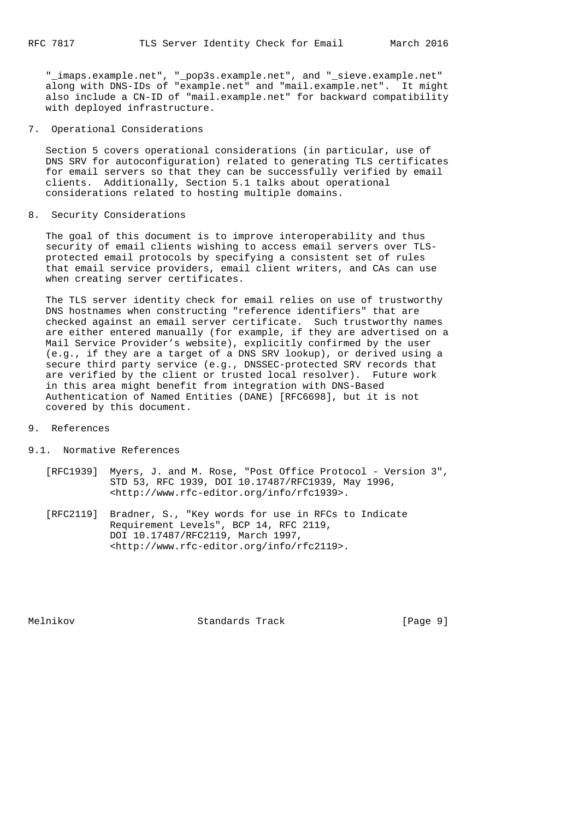"\_imaps.example.net", "\_pop3s.example.net", and "\_sieve.example.net" along with DNS-IDs of "example.net" and "mail.example.net". It might also include a CN-ID of "mail.example.net" for backward compatibility with deployed infrastructure.

7. Operational Considerations

 Section 5 covers operational considerations (in particular, use of DNS SRV for autoconfiguration) related to generating TLS certificates for email servers so that they can be successfully verified by email clients. Additionally, Section 5.1 talks about operational considerations related to hosting multiple domains.

8. Security Considerations

 The goal of this document is to improve interoperability and thus security of email clients wishing to access email servers over TLS protected email protocols by specifying a consistent set of rules that email service providers, email client writers, and CAs can use when creating server certificates.

 The TLS server identity check for email relies on use of trustworthy DNS hostnames when constructing "reference identifiers" that are checked against an email server certificate. Such trustworthy names are either entered manually (for example, if they are advertised on a Mail Service Provider's website), explicitly confirmed by the user (e.g., if they are a target of a DNS SRV lookup), or derived using a secure third party service (e.g., DNSSEC-protected SRV records that are verified by the client or trusted local resolver). Future work in this area might benefit from integration with DNS-Based Authentication of Named Entities (DANE) [RFC6698], but it is not covered by this document.

- 9. References
- 9.1. Normative References
	- [RFC1939] Myers, J. and M. Rose, "Post Office Protocol Version 3", STD 53, RFC 1939, DOI 10.17487/RFC1939, May 1996, <http://www.rfc-editor.org/info/rfc1939>.
	- [RFC2119] Bradner, S., "Key words for use in RFCs to Indicate Requirement Levels", BCP 14, RFC 2119, DOI 10.17487/RFC2119, March 1997, <http://www.rfc-editor.org/info/rfc2119>.

Melnikov Standards Track [Page 9]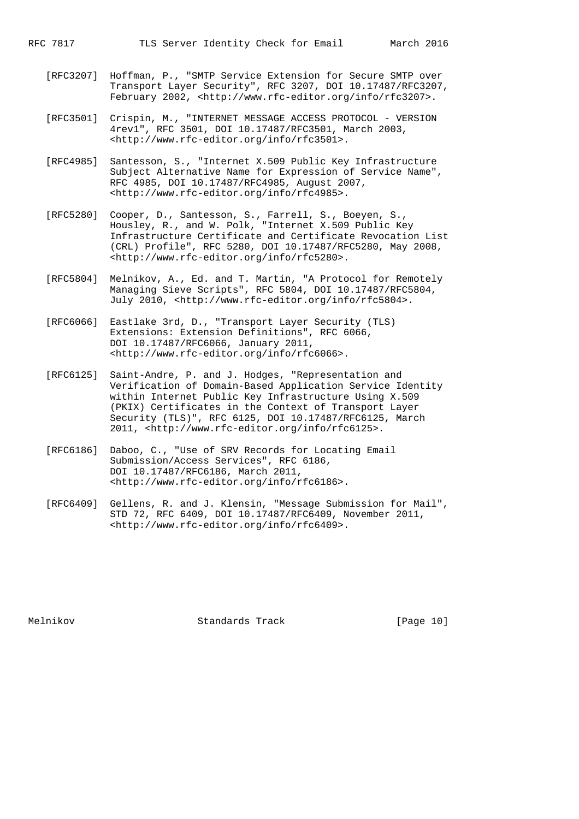- [RFC3207] Hoffman, P., "SMTP Service Extension for Secure SMTP over Transport Layer Security", RFC 3207, DOI 10.17487/RFC3207, February 2002, <http://www.rfc-editor.org/info/rfc3207>.
- [RFC3501] Crispin, M., "INTERNET MESSAGE ACCESS PROTOCOL VERSION 4rev1", RFC 3501, DOI 10.17487/RFC3501, March 2003, <http://www.rfc-editor.org/info/rfc3501>.
- [RFC4985] Santesson, S., "Internet X.509 Public Key Infrastructure Subject Alternative Name for Expression of Service Name", RFC 4985, DOI 10.17487/RFC4985, August 2007, <http://www.rfc-editor.org/info/rfc4985>.
- [RFC5280] Cooper, D., Santesson, S., Farrell, S., Boeyen, S., Housley, R., and W. Polk, "Internet X.509 Public Key Infrastructure Certificate and Certificate Revocation List (CRL) Profile", RFC 5280, DOI 10.17487/RFC5280, May 2008, <http://www.rfc-editor.org/info/rfc5280>.
	- [RFC5804] Melnikov, A., Ed. and T. Martin, "A Protocol for Remotely Managing Sieve Scripts", RFC 5804, DOI 10.17487/RFC5804, July 2010, <http://www.rfc-editor.org/info/rfc5804>.
	- [RFC6066] Eastlake 3rd, D., "Transport Layer Security (TLS) Extensions: Extension Definitions", RFC 6066, DOI 10.17487/RFC6066, January 2011, <http://www.rfc-editor.org/info/rfc6066>.
	- [RFC6125] Saint-Andre, P. and J. Hodges, "Representation and Verification of Domain-Based Application Service Identity within Internet Public Key Infrastructure Using X.509 (PKIX) Certificates in the Context of Transport Layer Security (TLS)", RFC 6125, DOI 10.17487/RFC6125, March 2011, <http://www.rfc-editor.org/info/rfc6125>.
	- [RFC6186] Daboo, C., "Use of SRV Records for Locating Email Submission/Access Services", RFC 6186, DOI 10.17487/RFC6186, March 2011, <http://www.rfc-editor.org/info/rfc6186>.
	- [RFC6409] Gellens, R. and J. Klensin, "Message Submission for Mail", STD 72, RFC 6409, DOI 10.17487/RFC6409, November 2011, <http://www.rfc-editor.org/info/rfc6409>.

Melnikov Standards Track [Page 10]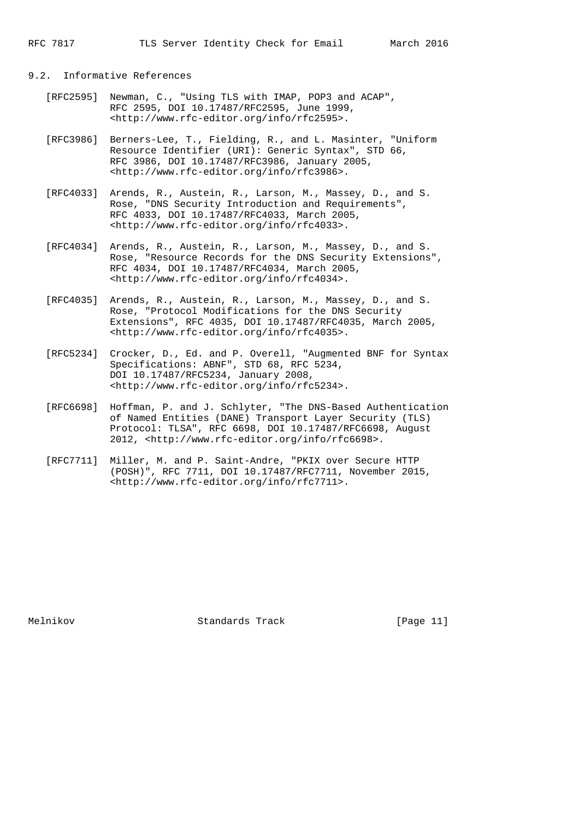## 9.2. Informative References

- [RFC2595] Newman, C., "Using TLS with IMAP, POP3 and ACAP", RFC 2595, DOI 10.17487/RFC2595, June 1999, <http://www.rfc-editor.org/info/rfc2595>.
- [RFC3986] Berners-Lee, T., Fielding, R., and L. Masinter, "Uniform Resource Identifier (URI): Generic Syntax", STD 66, RFC 3986, DOI 10.17487/RFC3986, January 2005, <http://www.rfc-editor.org/info/rfc3986>.
- [RFC4033] Arends, R., Austein, R., Larson, M., Massey, D., and S. Rose, "DNS Security Introduction and Requirements", RFC 4033, DOI 10.17487/RFC4033, March 2005, <http://www.rfc-editor.org/info/rfc4033>.
- [RFC4034] Arends, R., Austein, R., Larson, M., Massey, D., and S. Rose, "Resource Records for the DNS Security Extensions", RFC 4034, DOI 10.17487/RFC4034, March 2005, <http://www.rfc-editor.org/info/rfc4034>.
- [RFC4035] Arends, R., Austein, R., Larson, M., Massey, D., and S. Rose, "Protocol Modifications for the DNS Security Extensions", RFC 4035, DOI 10.17487/RFC4035, March 2005, <http://www.rfc-editor.org/info/rfc4035>.
- [RFC5234] Crocker, D., Ed. and P. Overell, "Augmented BNF for Syntax Specifications: ABNF", STD 68, RFC 5234, DOI 10.17487/RFC5234, January 2008, <http://www.rfc-editor.org/info/rfc5234>.
	- [RFC6698] Hoffman, P. and J. Schlyter, "The DNS-Based Authentication of Named Entities (DANE) Transport Layer Security (TLS) Protocol: TLSA", RFC 6698, DOI 10.17487/RFC6698, August 2012, <http://www.rfc-editor.org/info/rfc6698>.
	- [RFC7711] Miller, M. and P. Saint-Andre, "PKIX over Secure HTTP (POSH)", RFC 7711, DOI 10.17487/RFC7711, November 2015, <http://www.rfc-editor.org/info/rfc7711>.

Melnikov Standards Track [Page 11]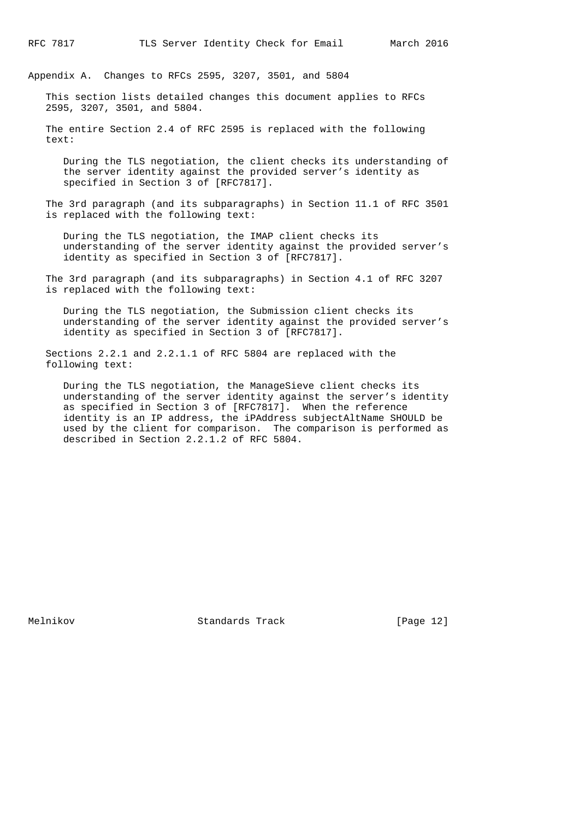Appendix A. Changes to RFCs 2595, 3207, 3501, and 5804

 This section lists detailed changes this document applies to RFCs 2595, 3207, 3501, and 5804.

 The entire Section 2.4 of RFC 2595 is replaced with the following text:

 During the TLS negotiation, the client checks its understanding of the server identity against the provided server's identity as specified in Section 3 of [RFC7817].

 The 3rd paragraph (and its subparagraphs) in Section 11.1 of RFC 3501 is replaced with the following text:

 During the TLS negotiation, the IMAP client checks its understanding of the server identity against the provided server's identity as specified in Section 3 of [RFC7817].

 The 3rd paragraph (and its subparagraphs) in Section 4.1 of RFC 3207 is replaced with the following text:

 During the TLS negotiation, the Submission client checks its understanding of the server identity against the provided server's identity as specified in Section 3 of [RFC7817].

 Sections 2.2.1 and 2.2.1.1 of RFC 5804 are replaced with the following text:

 During the TLS negotiation, the ManageSieve client checks its understanding of the server identity against the server's identity as specified in Section 3 of [RFC7817]. When the reference identity is an IP address, the iPAddress subjectAltName SHOULD be used by the client for comparison. The comparison is performed as described in Section 2.2.1.2 of RFC 5804.

Melnikov Standards Track [Page 12]